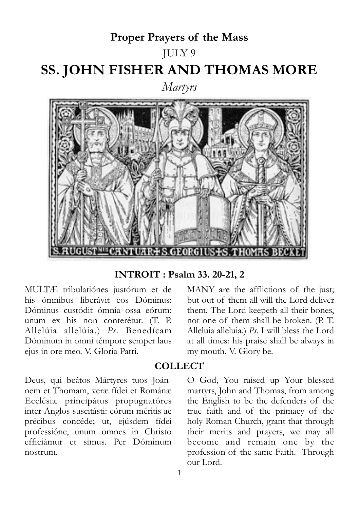# **Proper Prayers of the Mass** JULY 9 **SS. JOHN FISHER AND THOMAS MORE** *Martyrs*



**INTROIT : Psalm 33. 20-21, 2**

MULTÆ tribulatiónes justórum et de his ómnibus liberávit eos Dóminus: Dóminus custódit ómnia ossa eórum: unum ex his non conterétur. (T. P. Allelúia allelúia.) *Ps.* Benedícam Dóminum in omni témpore semper laus ejus in ore meo. V. Gloria Patri.

but out of them all will the Lord deliver them. The Lord keepeth all their bones, not one of them shall be broken. (P. T. Alleluia alleluia.) *Ps.* I will bless the Lord at all times: his praise shall be always in my mouth. V. Glory be.

MANY are the afflictions of the just;

## **COLLECT**

Deus, qui beátos Mártyres tuos Joánnem et Thomam, veræ fídei et Románæ Ecclésiæ principátus propugnatóres inter Anglos suscitásti: eórum méritis ac précibus concéde; ut, ejúsdem fídei professióne, unum omnes in Christo efficiámur et simus. Per Dóminum nostrum.

O God, You raised up Your blessed martyrs, John and Thomas, from among the English to be the defenders of the true faith and of the primacy of the holy Roman Church, grant that through their merits and prayers, we may all become and remain one by the profession of the same Faith. Through our Lord.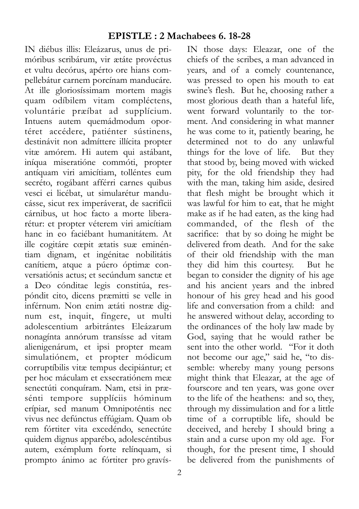IN diébus illis: Eleázarus, unus de primóribus scribárum, vir ætáte provéctus et vultu decórus, apérto ore hians compellebátur carnem porcínam manducáre. At ille gloriosíssimam mortem magis quam odíbilem vitam compléctens, voluntárie præíbat ad supplícium. Intuens autem quemádmodum oportéret accédere, patiénter sústinens, destinávit non admíttere illícita propter vitæ amórem. Hi autem qui astábant, iníqua miseratióne commóti, propter antíquam viri amicítiam, tolléntes eum secréto, rogábant afférri carnes quibus vesci ei licébat, ut simularétur manducásse, sicut rex imperáverat, de sacrifícii cárnibus, ut hoc facto a morte liberarétur: et propter véterem viri amicítiam hanc in eo faciébant humanitátem. At ille cogitáre cœpit ætatis suæ eminéntiam dignam, et ingénitae nobilitátis canítiem, atque a púero óptimæ conversatiónis actus; et secúndum sanctæ et a Deo cónditae legis constitúa, respóndit cito, dicens præmitti se velle in inférnum. Non enim ætáti nostræ dignum est, inquit, fíngere, ut multi adolescentium arbitrántes Eleázarum nonagínta annórum transísse ad vitam alienigenárum, et ipsi propter meam simulatiónem, et propter módicum corruptíbilis vitæ tempus decipiántur; et per hoc máculam et exsecratiónem meæ senectúti conquíram. Nam, etsi in præsénti tempore supplíciis hóminum erípiar, sed manum Omnipoténtis nec vivus nec defúnctus effúgiam. Quam ob rem fórtiter vita excedéndo, senectúte quidem dignus apparébo, adolescéntibus autem, exémplum forte relínquam, si prompto ánimo ac fórtiter pro gravís-

IN those days: Eleazar, one of the chiefs of the scribes, a man advanced in years, and of a comely countenance, was pressed to open his mouth to eat swine's flesh. But he, choosing rather a most glorious death than a hateful life, went forward voluntarily to the torment. And considering in what manner he was come to it, patiently bearing, he determined not to do any unlawful things for the love of life. But they that stood by, being moved with wicked pity, for the old friendship they had with the man, taking him aside, desired that flesh might be brought which it was lawful for him to eat, that he might make as if he had eaten, as the king had commanded, of the flesh of the sacrifice: that by so doing he might be delivered from death. And for the sake of their old friendship with the man they did him this courtesy. But he began to consider the dignity of his age and his ancient years and the inbred honour of his grey head and his good life and conversation from a child: and he answered without delay, according to the ordinances of the holy law made by God, saying that he would rather be sent into the other world. "For it doth not become our age," said he, "to dissemble: whereby many young persons might think that Eleazar, at the age of fourscore and ten years, was gone over to the life of the heathens: and so, they, through my dissimulation and for a little time of a corruptible life, should be deceived, and hereby I should bring a stain and a curse upon my old age. For though, for the present time, I should be delivered from the punishments of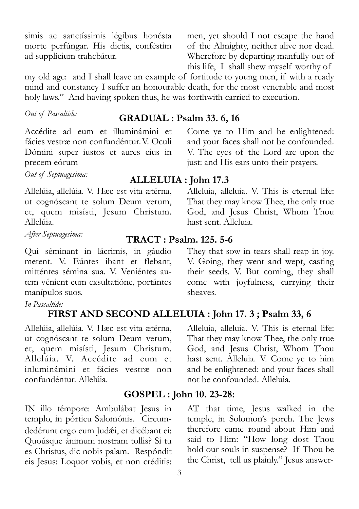simis ac sanctíssimis légibus honésta morte perfúngar. His dictis, conféstim ad supplícium trahebátur.

men, yet should I not escape the hand of the Almighty, neither alive nor dead. Wherefore by departing manfully out of this life, I shall shew myself worthy of

my old age: and I shall leave an example of fortitude to young men, if with a ready mind and constancy I suffer an honourable death, for the most venerable and most holy laws." And having spoken thus, he was forthwith carried to execution.

# *Out of Pascaltide:* **GRADUAL : Psalm 33. 6, 16**

Accédite ad eum et illuminámini et fácies vestræ non confundéntur.V. Oculi Dómini super iustos et aures eius in precem eórum

*Out of Septuagesima:* **ALLELUIA : John 17.3**

Allelúia, allelúia. V. Hæc est vita ætérna, ut cognóscant te solum Deum verum, et, quem misísti, Jesum Christum. Allelúia.

Qui séminant in lácrimis, in gáudio metent. V. Eúntes ibant et flebant, mitténtes sémina sua. V. Veniéntes autem vénient cum exsultatióne, portántes manípulos suos.

#### *In Pascaltide:*

# **FIRST AND SECOND ALLELUIA : John 17. 3 ; Psalm 33, 6**

Allelúia, allelúia. V. Hæc est vita ætérna, ut cognóscant te solum Deum verum, et, quem misísti, Jesum Christum. Allelúia. V. Accédite ad eum et inluminámini et fácies vestræ non confundéntur. Allelúia.

IN illo témpore: Ambulábat Jesus in templo, in pórticu Salomónis. Circumdedérunt ergo eum Judæi, et dicébant ei: Quoúsque ánimum nostram tollis? Si tu es Christus, dic nobis palam. Respóndit eis Jesus: Loquor vobis, et non créditis:

Alleluia, alleluia. V. This is eternal life: That they may know Thee, the only true God, and Jesus Christ, Whom Thou hast sent. Alleluia.

Come ye to Him and be enlightened: and your faces shall not be confounded. V. The eyes of the Lord are upon the just: and His ears unto their prayers.

# *After Septuagesima:* **TRACT : Psalm. 125. 5-6**

They that sow in tears shall reap in joy. V. Going, they went and wept, casting their seeds. V. But coming, they shall come with joyfulness, carrying their sheaves.

Alleluia, alleluia. V. This is eternal life: That they may know Thee, the only true God, and Jesus Christ, Whom Thou hast sent. Alleluia. V. Come ye to him and be enlightened: and your faces shall not be confounded. Alleluia.

## **GOSPEL : John 10. 23-28:**

AT that time, Jesus walked in the temple, in Solomon's porch. The Jews therefore came round about Him and said to Him: "How long dost Thou hold our souls in suspense? If Thou be the Christ, tell us plainly." Jesus answer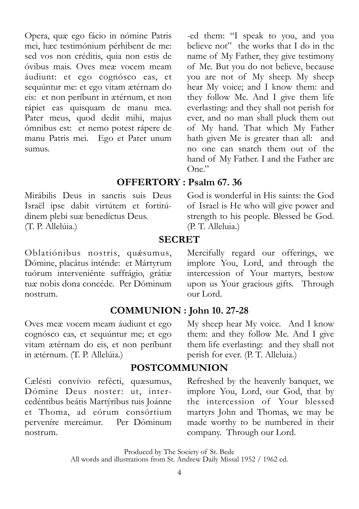Opera, quæ ego fácio in nómine Patris mei, hæc testimónium pérhibent de me: sed vos non créditis, quia non estis de óvibus mais. Oves meæ vocem meam áudiunt: et ego cognósco eas, et sequúntur me: et ego vitam ætérnam do eis: et non períbunt in ætérnum, et non rápiet eas quisquam de manu mea. Pater meus, quod dedit mihi, majus ómnibus est: et nemo potest rápere de manu Patris mei. Ego et Pater unum sumus.

-ed them: "I speak to you, and you believe not" the works that I do in the name of My Father, they give testimony of Me. But you do not believe, because you are not of My sheep. My sheep hear My voice; and I know them: and they follow Me. And I give them life everlasting: and they shall not perish for ever, and no man shall pluck them out of My hand. That which My Father hath given Me is greater than all: and no one can snatch them out of the hand of My Father. I and the Father are  $One$ "

# **OFFERTORY : Psalm 67. 36**

Mirábilis Deus in sanctis suis Deus Israël ipse dabit virtútem et fortitúdinem plebi suæ benedíctus Deus. (T. P. Allelúia.)

Oblatiónibus nostris, quésumus, Dómine, placátus inténde: et Mártyrum tuórum interveniénte suffrágio, grátiæ tuæ nobis dona concéde. Per Dóminum nostrum.

Oves meæ vocem meam áudiunt et ego cognósco eas, et sequúntur me; et ego vitam ætérnam do eis, et non períbunt in ætérnum. (T. P. Allelúia.)

Cælésti convívio refécti, quæsumus, Dómine Deus noster: ut, intercedéntibus beátis Martýribus tuis Joánne et Thoma, ad eórum consórtium perveníre mereámur. Per Dóminum nostrum.

God is wonderful in His saints: the God of Israel is He who will give power and strength to his people. Blessed be God. (P. T. Alleluia.)

#### **SECRET**

Mercifully regard our offerings, we implore You, Lord, and through the intercession of Your martyrs, bestow upon us Your gracious gifts. Through our Lord.

# **COMMUNION : John 10. 27-28**

My sheep hear My voice. And I know them: and they follow Me. And I give them life everlasting: and they shall not perish for ever. (P. T. Alleluia.)

## **POSTCOMMUNION**

Refreshed by the heavenly banquet, we implore You, Lord, our God, that by the intercession of Your blessed martyrs John and Thomas, we may be made worthy to be numbered in their company. Through our Lord.

Produced by The Society of St. Bede

All words and illustrations from St. Andrew Daily Missal 1952 / 1962 ed.